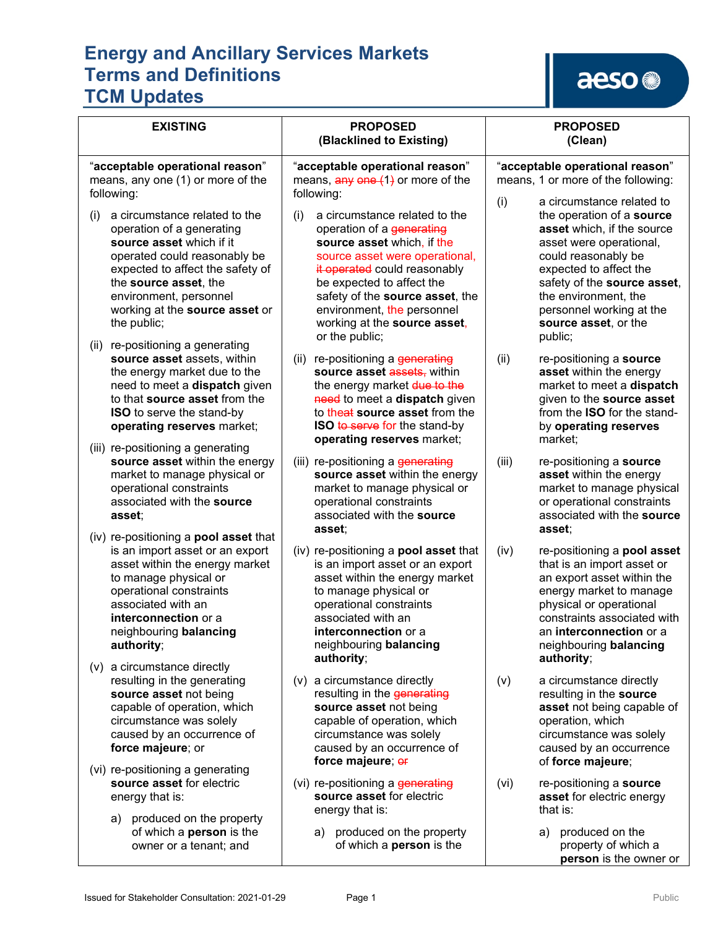# aeso<sup>®</sup>

| <b>EXISTING</b>                                                                                                                                                                                                                                                                                           | <b>PROPOSED</b><br>(Blacklined to Existing)                                                                                                                                                                                                                                                                       | <b>PROPOSED</b><br>(Clean)                                                                                                                                                                                                                                                                    |
|-----------------------------------------------------------------------------------------------------------------------------------------------------------------------------------------------------------------------------------------------------------------------------------------------------------|-------------------------------------------------------------------------------------------------------------------------------------------------------------------------------------------------------------------------------------------------------------------------------------------------------------------|-----------------------------------------------------------------------------------------------------------------------------------------------------------------------------------------------------------------------------------------------------------------------------------------------|
| "acceptable operational reason"<br>means, any one (1) or more of the<br>following:                                                                                                                                                                                                                        | "acceptable operational reason"<br>means, $\frac{any}{en}$ $\frac{(-1)}{2}$ or more of the<br>following:                                                                                                                                                                                                          | "acceptable operational reason"<br>means, 1 or more of the following:                                                                                                                                                                                                                         |
| a circumstance related to the<br>(i)<br>operation of a generating<br>source asset which if it<br>operated could reasonably be<br>expected to affect the safety of<br>the source asset, the<br>environment, personnel<br>working at the source asset or<br>the public;<br>(ii) re-positioning a generating | (i)<br>a circumstance related to the<br>operation of a generating<br>source asset which, if the<br>source asset were operational,<br>it operated could reasonably<br>be expected to affect the<br>safety of the source asset, the<br>environment, the personnel<br>working at the source asset,<br>or the public; | a circumstance related to<br>(i)<br>the operation of a source<br>asset which, if the source<br>asset were operational,<br>could reasonably be<br>expected to affect the<br>safety of the source asset,<br>the environment, the<br>personnel working at the<br>source asset, or the<br>public; |
| source asset assets, within<br>the energy market due to the<br>need to meet a dispatch given<br>to that source asset from the<br><b>ISO</b> to serve the stand-by<br>operating reserves market;                                                                                                           | (ii) re-positioning a generating<br>source asset assets, within<br>the energy market due to the<br>need to meet a dispatch given<br>to theat source asset from the<br><b>ISO to serve for the stand-by</b><br>operating reserves market;                                                                          | (ii)<br>re-positioning a source<br>asset within the energy<br>market to meet a dispatch<br>given to the source asset<br>from the ISO for the stand-<br>by operating reserves<br>market;                                                                                                       |
| (iii) re-positioning a generating<br>source asset within the energy<br>market to manage physical or<br>operational constraints<br>associated with the source<br>asset;<br>(iv) re-positioning a <b>pool asset</b> that                                                                                    | (iii) re-positioning a generating<br>source asset within the energy<br>market to manage physical or<br>operational constraints<br>associated with the source<br>asset;                                                                                                                                            | (iii)<br>re-positioning a source<br>asset within the energy<br>market to manage physical<br>or operational constraints<br>associated with the source<br>asset:                                                                                                                                |
| is an import asset or an export<br>asset within the energy market<br>to manage physical or<br>operational constraints<br>associated with an<br>interconnection or a<br>neighbouring balancing<br>authority;                                                                                               | (iv) re-positioning a <b>pool asset</b> that<br>is an import asset or an export<br>asset within the energy market<br>to manage physical or<br>operational constraints<br>associated with an<br>interconnection or a<br>neighbouring balancing<br>authority;                                                       | (iv)<br>re-positioning a pool asset<br>that is an import asset or<br>an export asset within the<br>energy market to manage<br>physical or operational<br>constraints associated with<br>an <b>interconnection</b> or a<br>neighbouring balancing<br>authority;                                |
| a circumstance directly<br>(v)<br>resulting in the generating<br>source asset not being<br>capable of operation, which<br>circumstance was solely<br>caused by an occurrence of<br>force majeure; or<br>(vi) re-positioning a generating                                                                  | (v) a circumstance directly<br>resulting in the generating<br>source asset not being<br>capable of operation, which<br>circumstance was solely<br>caused by an occurrence of<br>force majeure; or                                                                                                                 | (v)<br>a circumstance directly<br>resulting in the source<br>asset not being capable of<br>operation, which<br>circumstance was solely<br>caused by an occurrence<br>of force majeure;                                                                                                        |
| source asset for electric<br>energy that is:<br>produced on the property<br>a)                                                                                                                                                                                                                            | (vi) re-positioning a generating<br>source asset for electric<br>energy that is:                                                                                                                                                                                                                                  | (vi)<br>re-positioning a source<br>asset for electric energy<br>that is:                                                                                                                                                                                                                      |
| of which a <b>person</b> is the<br>owner or a tenant; and                                                                                                                                                                                                                                                 | a) produced on the property<br>of which a <b>person</b> is the                                                                                                                                                                                                                                                    | produced on the<br>a)<br>property of which a<br>person is the owner or                                                                                                                                                                                                                        |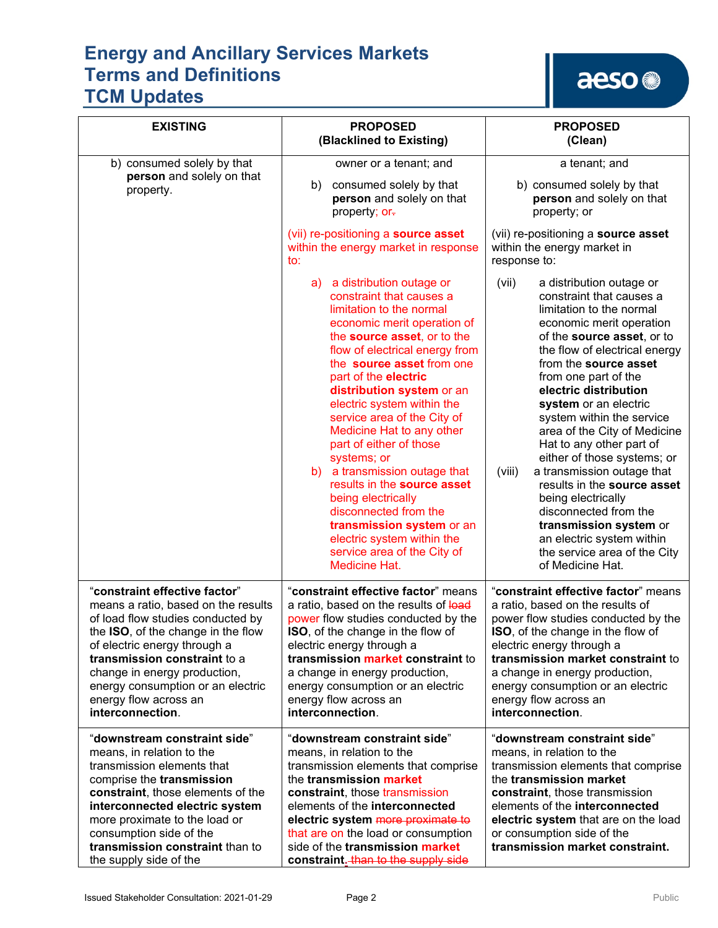# aeso<sup>®</sup>

| <b>EXISTING</b>                                                                                                                                                                                                                                                                                                                   | <b>PROPOSED</b><br>(Blacklined to Existing)                                                                                                                                                                                                                                                                                                                                                                                                                                                                                                                                                                                         | <b>PROPOSED</b><br>(Clean)                                                                                                                                                                                                                                                                                                                                                                                                                                                                                                                                                                                                                       |
|-----------------------------------------------------------------------------------------------------------------------------------------------------------------------------------------------------------------------------------------------------------------------------------------------------------------------------------|-------------------------------------------------------------------------------------------------------------------------------------------------------------------------------------------------------------------------------------------------------------------------------------------------------------------------------------------------------------------------------------------------------------------------------------------------------------------------------------------------------------------------------------------------------------------------------------------------------------------------------------|--------------------------------------------------------------------------------------------------------------------------------------------------------------------------------------------------------------------------------------------------------------------------------------------------------------------------------------------------------------------------------------------------------------------------------------------------------------------------------------------------------------------------------------------------------------------------------------------------------------------------------------------------|
| b) consumed solely by that                                                                                                                                                                                                                                                                                                        | owner or a tenant; and                                                                                                                                                                                                                                                                                                                                                                                                                                                                                                                                                                                                              | a tenant; and                                                                                                                                                                                                                                                                                                                                                                                                                                                                                                                                                                                                                                    |
| person and solely on that<br>property.                                                                                                                                                                                                                                                                                            | consumed solely by that<br>b)<br>person and solely on that<br>property; or-                                                                                                                                                                                                                                                                                                                                                                                                                                                                                                                                                         | b) consumed solely by that<br>person and solely on that<br>property; or                                                                                                                                                                                                                                                                                                                                                                                                                                                                                                                                                                          |
|                                                                                                                                                                                                                                                                                                                                   | (vii) re-positioning a source asset<br>within the energy market in response<br>to:                                                                                                                                                                                                                                                                                                                                                                                                                                                                                                                                                  | (vii) re-positioning a source asset<br>within the energy market in<br>response to:                                                                                                                                                                                                                                                                                                                                                                                                                                                                                                                                                               |
|                                                                                                                                                                                                                                                                                                                                   | a) a distribution outage or<br>constraint that causes a<br>limitation to the normal<br>economic merit operation of<br>the source asset, or to the<br>flow of electrical energy from<br>the source asset from one<br>part of the electric<br>distribution system or an<br>electric system within the<br>service area of the City of<br>Medicine Hat to any other<br>part of either of those<br>systems; or<br>b) a transmission outage that<br>results in the source asset<br>being electrically<br>disconnected from the<br>transmission system or an<br>electric system within the<br>service area of the City of<br>Medicine Hat. | (vii)<br>a distribution outage or<br>constraint that causes a<br>limitation to the normal<br>economic merit operation<br>of the source asset, or to<br>the flow of electrical energy<br>from the source asset<br>from one part of the<br>electric distribution<br>system or an electric<br>system within the service<br>area of the City of Medicine<br>Hat to any other part of<br>either of those systems; or<br>a transmission outage that<br>(viii)<br>results in the source asset<br>being electrically<br>disconnected from the<br>transmission system or<br>an electric system within<br>the service area of the City<br>of Medicine Hat. |
| "constraint effective factor"<br>means a ratio, based on the results<br>of load flow studies conducted by<br>the ISO, of the change in the flow<br>of electric energy through a<br>transmission constraint to a<br>change in energy production,<br>energy consumption or an electric<br>energy flow across an<br>interconnection. | "constraint effective factor" means<br>a ratio, based on the results of load<br>power flow studies conducted by the<br><b>ISO</b> , of the change in the flow of<br>electric energy through a<br>transmission market constraint to<br>a change in energy production,<br>energy consumption or an electric<br>energy flow across an<br>interconnection.                                                                                                                                                                                                                                                                              | "constraint effective factor" means<br>a ratio, based on the results of<br>power flow studies conducted by the<br><b>ISO</b> , of the change in the flow of<br>electric energy through a<br>transmission market constraint to<br>a change in energy production,<br>energy consumption or an electric<br>energy flow across an<br>interconnection.                                                                                                                                                                                                                                                                                                |
| "downstream constraint side"<br>means, in relation to the<br>transmission elements that<br>comprise the transmission<br>constraint, those elements of the<br>interconnected electric system<br>more proximate to the load or<br>consumption side of the<br>transmission constraint than to<br>the supply side of the              | "downstream constraint side"<br>means, in relation to the<br>transmission elements that comprise<br>the transmission market<br>constraint, those transmission<br>elements of the interconnected<br>electric system more proximate to<br>that are on the load or consumption<br>side of the transmission market<br>constraint. than to the supply side                                                                                                                                                                                                                                                                               | "downstream constraint side"<br>means, in relation to the<br>transmission elements that comprise<br>the transmission market<br>constraint, those transmission<br>elements of the <b>interconnected</b><br>electric system that are on the load<br>or consumption side of the<br>transmission market constraint.                                                                                                                                                                                                                                                                                                                                  |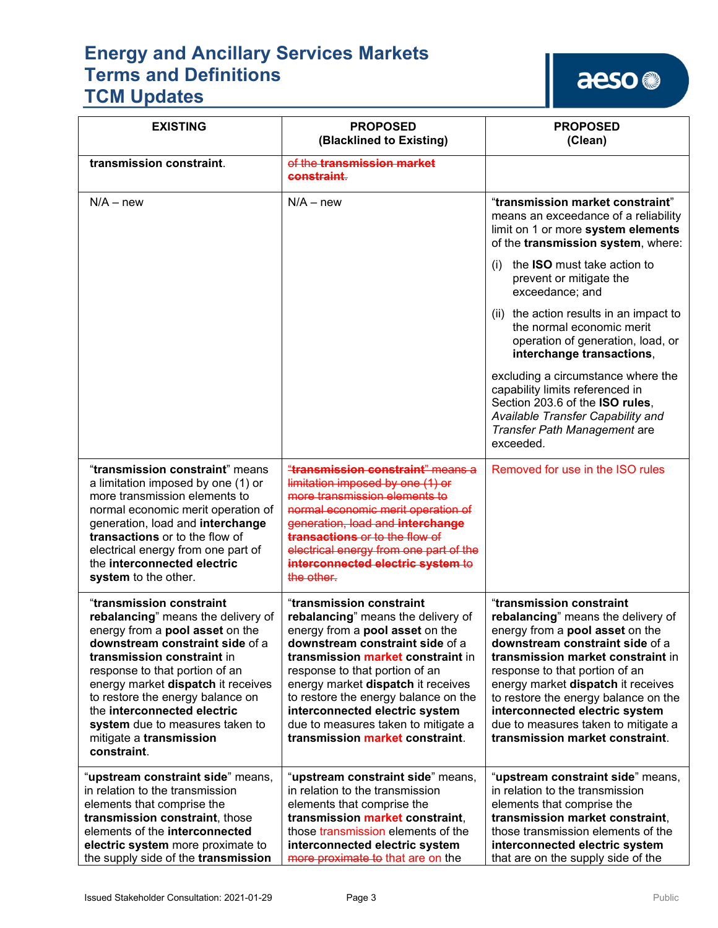aeso<sup>®</sup>

| <b>EXISTING</b>                                                                                                                                                                                                                                                                                                                                                                                   | <b>PROPOSED</b><br>(Blacklined to Existing)                                                                                                                                                                                                                                                                                                                                                                  | <b>PROPOSED</b><br>(Clean)                                                                                                                                                                                                                                                                                                                                                                                   |
|---------------------------------------------------------------------------------------------------------------------------------------------------------------------------------------------------------------------------------------------------------------------------------------------------------------------------------------------------------------------------------------------------|--------------------------------------------------------------------------------------------------------------------------------------------------------------------------------------------------------------------------------------------------------------------------------------------------------------------------------------------------------------------------------------------------------------|--------------------------------------------------------------------------------------------------------------------------------------------------------------------------------------------------------------------------------------------------------------------------------------------------------------------------------------------------------------------------------------------------------------|
| transmission constraint.                                                                                                                                                                                                                                                                                                                                                                          | of the transmission market<br>constraint.                                                                                                                                                                                                                                                                                                                                                                    |                                                                                                                                                                                                                                                                                                                                                                                                              |
| $N/A - new$                                                                                                                                                                                                                                                                                                                                                                                       | $N/A - new$                                                                                                                                                                                                                                                                                                                                                                                                  | "transmission market constraint"<br>means an exceedance of a reliability<br>limit on 1 or more system elements<br>of the transmission system, where:                                                                                                                                                                                                                                                         |
|                                                                                                                                                                                                                                                                                                                                                                                                   |                                                                                                                                                                                                                                                                                                                                                                                                              | the <b>ISO</b> must take action to<br>(i)<br>prevent or mitigate the<br>exceedance; and                                                                                                                                                                                                                                                                                                                      |
|                                                                                                                                                                                                                                                                                                                                                                                                   |                                                                                                                                                                                                                                                                                                                                                                                                              | (ii) the action results in an impact to<br>the normal economic merit<br>operation of generation, load, or<br>interchange transactions,                                                                                                                                                                                                                                                                       |
|                                                                                                                                                                                                                                                                                                                                                                                                   |                                                                                                                                                                                                                                                                                                                                                                                                              | excluding a circumstance where the<br>capability limits referenced in<br>Section 203.6 of the ISO rules,<br>Available Transfer Capability and<br>Transfer Path Management are<br>exceeded.                                                                                                                                                                                                                   |
| "transmission constraint" means<br>a limitation imposed by one (1) or<br>more transmission elements to<br>normal economic merit operation of<br>generation, load and interchange<br>transactions or to the flow of<br>electrical energy from one part of<br>the interconnected electric<br>system to the other.                                                                                   | "transmission constraint" means a<br>limitation imposed by one (1) or<br>more transmission elements to<br>normal economic merit operation of<br>generation, load and interchange<br><b>transactions or to the flow of</b><br>electrical energy from one part of the<br>interconnected electric system to<br>the other.                                                                                       | Removed for use in the ISO rules                                                                                                                                                                                                                                                                                                                                                                             |
| "transmission constraint<br>rebalancing" means the delivery of<br>energy from a <b>pool asset</b> on the<br>downstream constraint side of a<br>transmission constraint in<br>response to that portion of an<br>energy market dispatch it receives<br>to restore the energy balance on<br>the interconnected electric<br>system due to measures taken to<br>mitigate a transmission<br>constraint. | "transmission constraint<br>rebalancing" means the delivery of<br>energy from a <b>pool asset</b> on the<br>downstream constraint side of a<br>transmission market constraint in<br>response to that portion of an<br>energy market dispatch it receives<br>to restore the energy balance on the<br>interconnected electric system<br>due to measures taken to mitigate a<br>transmission market constraint. | "transmission constraint<br>rebalancing" means the delivery of<br>energy from a <b>pool asset</b> on the<br>downstream constraint side of a<br>transmission market constraint in<br>response to that portion of an<br>energy market dispatch it receives<br>to restore the energy balance on the<br>interconnected electric system<br>due to measures taken to mitigate a<br>transmission market constraint. |
| "upstream constraint side" means,<br>in relation to the transmission<br>elements that comprise the<br>transmission constraint, those<br>elements of the interconnected<br>electric system more proximate to<br>the supply side of the transmission                                                                                                                                                | "upstream constraint side" means,<br>in relation to the transmission<br>elements that comprise the<br>transmission market constraint,<br>those transmission elements of the<br>interconnected electric system<br>more proximate to that are on the                                                                                                                                                           | "upstream constraint side" means,<br>in relation to the transmission<br>elements that comprise the<br>transmission market constraint,<br>those transmission elements of the<br>interconnected electric system<br>that are on the supply side of the                                                                                                                                                          |